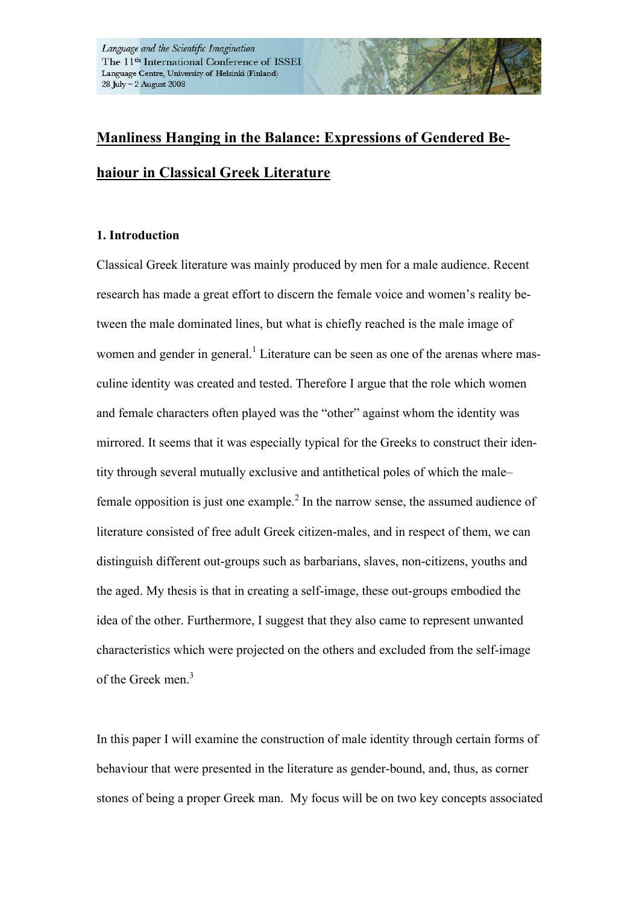# **Manliness Hanging in the Balance: Expressions of Gendered Behaiour in Classical Greek Literature**

# **1. Introduction**

Classical Greek literature was mainly produced by men for a male audience. Recent research has made a great effort to discern the female voice and women's reality between the male dominated lines, but what is chiefly reached is the male image of women and gender in general.<sup>1</sup> Literature can be seen as one of the arenas where masculine identity was created and tested. Therefore I argue that the role which women and female characters often played was the "other" against whom the identity was mirrored. It seems that it was especially typical for the Greeks to construct their identity through several mutually exclusive and antithetical poles of which the male– female opposition is just one example.<sup>2</sup> In the narrow sense, the assumed audience of literature consisted of free adult Greek citizen-males, and in respect of them, we can distinguish different out-groups such as barbarians, slaves, non-citizens, youths and the aged. My thesis is that in creating a self-image, these out-groups embodied the idea of the other. Furthermore, I suggest that they also came to represent unwanted characteristics which were projected on the others and excluded from the self-image of the Greek men. 3

In this paper I will examine the construction of male identity through certain forms of behaviour that were presented in the literature as gender-bound, and, thus, as corner stones of being a proper Greek man. My focus will be on two key concepts associated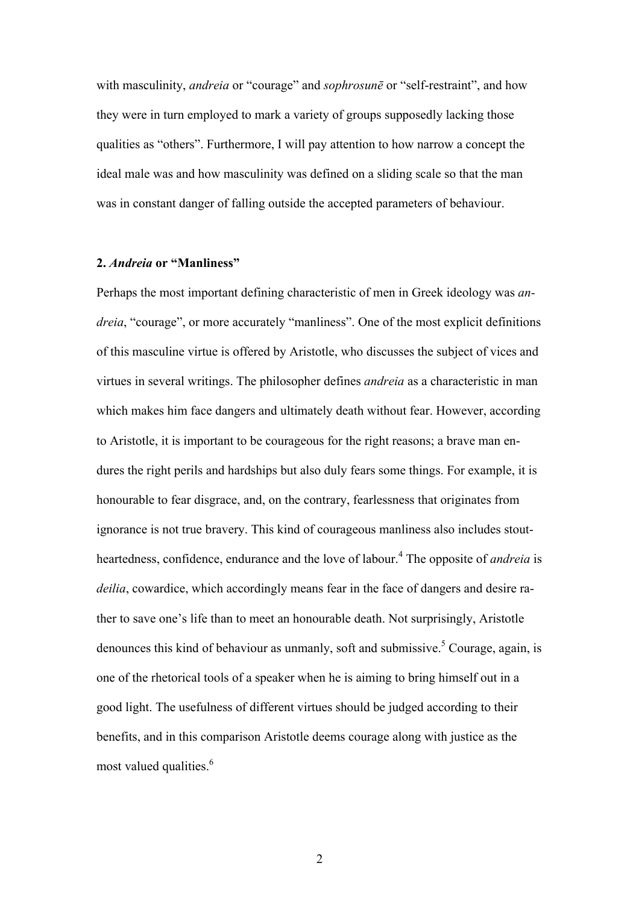with masculinity, *andreia* or "courage" and *sophrosune* or "self-restraint", and how they were in turn employed to mark a variety of groups supposedly lacking those qualities as "others". Furthermore, I will pay attention to how narrow a concept the ideal male was and how masculinity was defined on a sliding scale so that the man was in constant danger of falling outside the accepted parameters of behaviour.

#### **2.** *Andreia* **or "Manliness"**

Perhaps the most important defining characteristic of men in Greek ideology was *andreia*, "courage", or more accurately "manliness". One of the most explicit definitions of this masculine virtue is offered by Aristotle, who discusses the subject of vices and virtues in several writings. The philosopher defines *andreia* as a characteristic in man which makes him face dangers and ultimately death without fear. However, according to Aristotle, it is important to be courageous for the right reasons; a brave man endures the right perils and hardships but also duly fears some things. For example, it is honourable to fear disgrace, and, on the contrary, fearlessness that originates from ignorance is not true bravery. This kind of courageous manliness also includes stoutheartedness, confidence, endurance and the love of labour.<sup>4</sup> The opposite of *andreia* is *deilia*, cowardice, which accordingly means fear in the face of dangers and desire rather to save one's life than to meet an honourable death. Not surprisingly, Aristotle denounces this kind of behaviour as unmanly, soft and submissive.<sup>5</sup> Courage, again, is one of the rhetorical tools of a speaker when he is aiming to bring himself out in a good light. The usefulness of different virtues should be judged according to their benefits, and in this comparison Aristotle deems courage along with justice as the most valued qualities. 6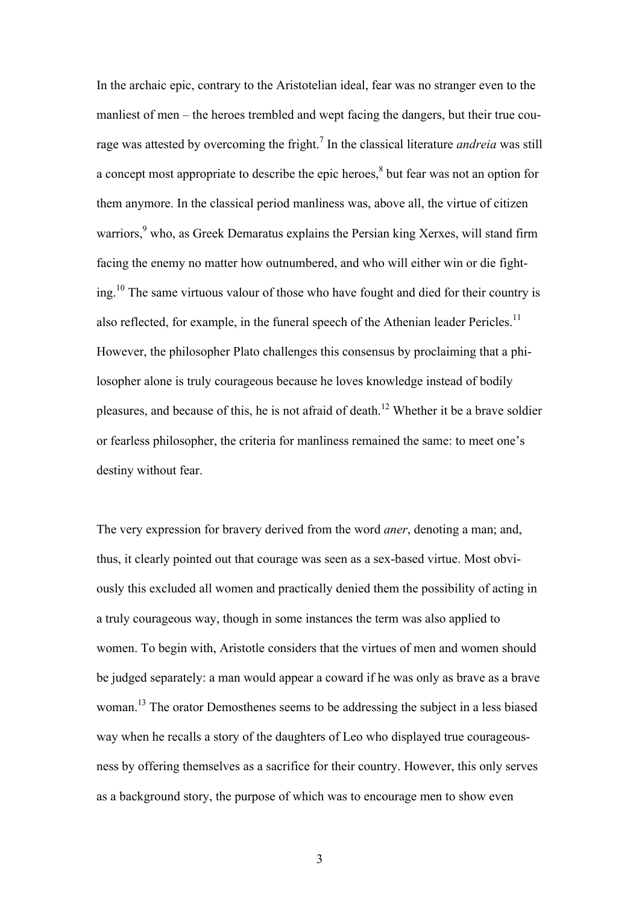In the archaic epic, contrary to the Aristotelian ideal, fear was no stranger even to the manliest of men – the heroes trembled and wept facing the dangers, but their true courage was attested by overcoming the fright.7 In the classical literature *andreia* was still a concept most appropriate to describe the epic heroes, $<sup>8</sup>$  but fear was not an option for</sup> them anymore. In the classical period manliness was, above all, the virtue of citizen warriors,<sup>9</sup> who, as Greek Demaratus explains the Persian king Xerxes, will stand firm facing the enemy no matter how outnumbered, and who will either win or die fighting.10 The same virtuous valour of those who have fought and died for their country is also reflected, for example, in the funeral speech of the Athenian leader Pericles.<sup>11</sup> However, the philosopher Plato challenges this consensus by proclaiming that a philosopher alone is truly courageous because he loves knowledge instead of bodily pleasures, and because of this, he is not afraid of death.<sup>12</sup> Whether it be a brave soldier or fearless philosopher, the criteria for manliness remained the same: to meet one's destiny without fear.

The very expression for bravery derived from the word *aner*, denoting a man; and, thus, it clearly pointed out that courage was seen as a sex-based virtue. Most obviously this excluded all women and practically denied them the possibility of acting in a truly courageous way, though in some instances the term was also applied to women. To begin with, Aristotle considers that the virtues of men and women should be judged separately: a man would appear a coward if he was only as brave as a brave woman.13 The orator Demosthenes seems to be addressing the subject in a less biased way when he recalls a story of the daughters of Leo who displayed true courageousness by offering themselves as a sacrifice for their country. However, this only serves as a background story, the purpose of which was to encourage men to show even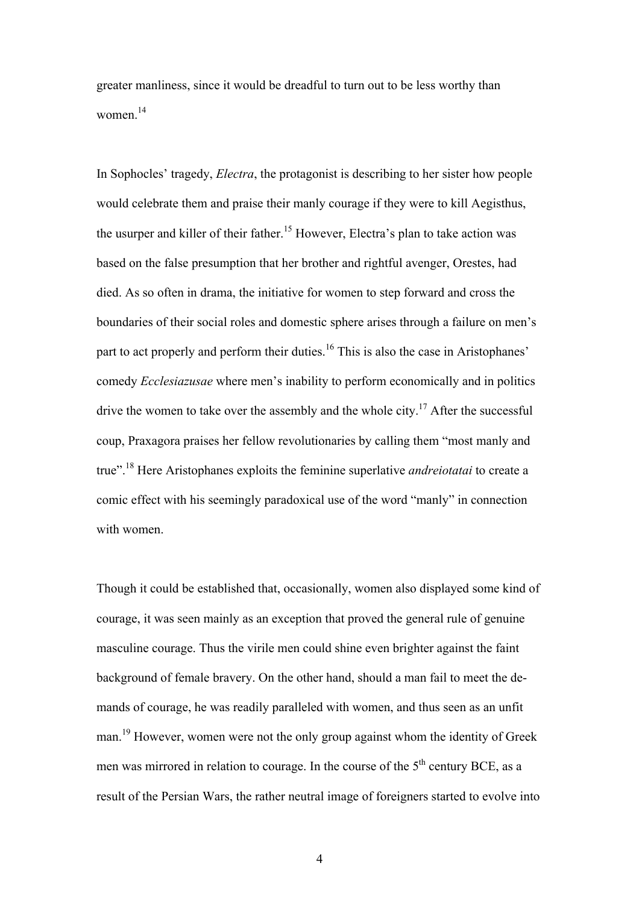greater manliness, since it would be dreadful to turn out to be less worthy than women $14$ 

In Sophocles' tragedy, *Electra*, the protagonist is describing to her sister how people would celebrate them and praise their manly courage if they were to kill Aegisthus, the usurper and killer of their father.15 However, Electra's plan to take action was based on the false presumption that her brother and rightful avenger, Orestes, had died. As so often in drama, the initiative for women to step forward and cross the boundaries of their social roles and domestic sphere arises through a failure on men's part to act properly and perform their duties.<sup>16</sup> This is also the case in Aristophanes' comedy *Ecclesiazusae* where men's inability to perform economically and in politics drive the women to take over the assembly and the whole city.<sup>17</sup> After the successful coup, Praxagora praises her fellow revolutionaries by calling them "most manly and true".18 Here Aristophanes exploits the feminine superlative *andreiotatai* to create a comic effect with his seemingly paradoxical use of the word "manly" in connection with women.

Though it could be established that, occasionally, women also displayed some kind of courage, it was seen mainly as an exception that proved the general rule of genuine masculine courage. Thus the virile men could shine even brighter against the faint background of female bravery. On the other hand, should a man fail to meet the demands of courage, he was readily paralleled with women, and thus seen as an unfit man.19 However, women were not the only group against whom the identity of Greek men was mirrored in relation to courage. In the course of the  $5<sup>th</sup>$  century BCE, as a result of the Persian Wars, the rather neutral image of foreigners started to evolve into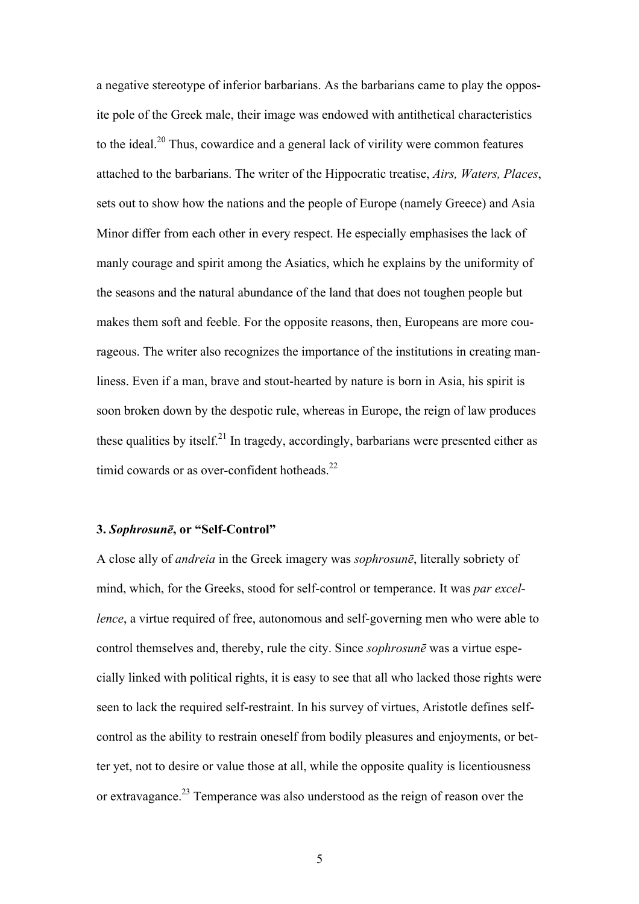a negative stereotype of inferior barbarians. As the barbarians came to play the opposite pole of the Greek male, their image was endowed with antithetical characteristics to the ideal.<sup>20</sup> Thus, cowardice and a general lack of virility were common features attached to the barbarians. The writer of the Hippocratic treatise, *Airs, Waters, Places*, sets out to show how the nations and the people of Europe (namely Greece) and Asia Minor differ from each other in every respect. He especially emphasises the lack of manly courage and spirit among the Asiatics, which he explains by the uniformity of the seasons and the natural abundance of the land that does not toughen people but makes them soft and feeble. For the opposite reasons, then, Europeans are more courageous. The writer also recognizes the importance of the institutions in creating manliness. Even if a man, brave and stout-hearted by nature is born in Asia, his spirit is soon broken down by the despotic rule, whereas in Europe, the reign of law produces these qualities by itself.<sup>21</sup> In tragedy, accordingly, barbarians were presented either as timid cowards or as over-confident hotheads. $^{22}$ 

## **3.** *Sophrosunē***, or "Self-Control"**

A close ally of *andreia* in the Greek imagery was *sophrosunē*, literally sobriety of mind, which, for the Greeks, stood for self-control or temperance. It was *par excellence*, a virtue required of free, autonomous and self-governing men who were able to control themselves and, thereby, rule the city. Since *sophrosunē* was a virtue especially linked with political rights, it is easy to see that all who lacked those rights were seen to lack the required self-restraint. In his survey of virtues, Aristotle defines selfcontrol as the ability to restrain oneself from bodily pleasures and enjoyments, or better yet, not to desire or value those at all, while the opposite quality is licentiousness or extravagance.23 Temperance was also understood as the reign of reason over the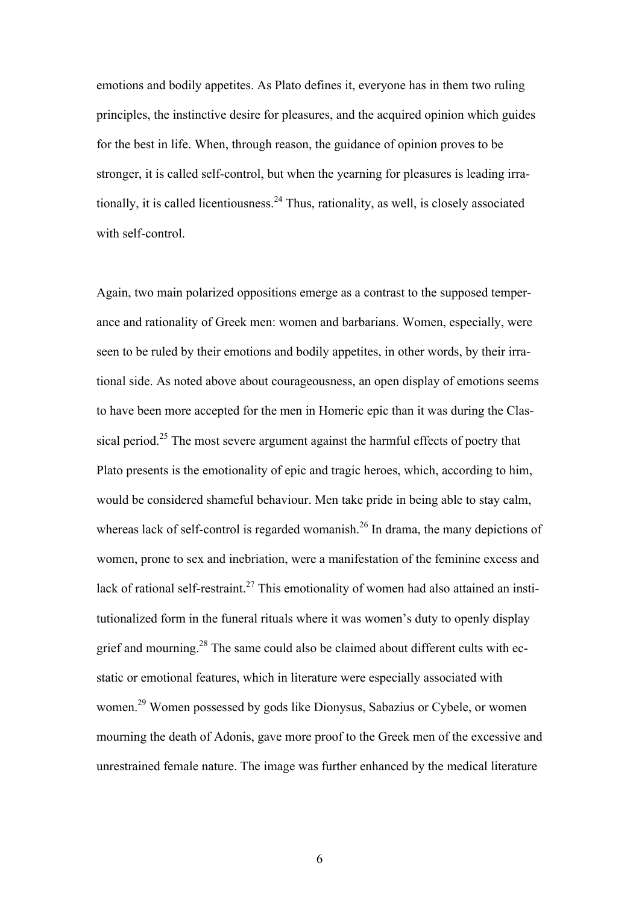emotions and bodily appetites. As Plato defines it, everyone has in them two ruling principles, the instinctive desire for pleasures, and the acquired opinion which guides for the best in life. When, through reason, the guidance of opinion proves to be stronger, it is called self-control, but when the yearning for pleasures is leading irrationally, it is called licentiousness.<sup>24</sup> Thus, rationality, as well, is closely associated with self-control.

Again, two main polarized oppositions emerge as a contrast to the supposed temperance and rationality of Greek men: women and barbarians. Women, especially, were seen to be ruled by their emotions and bodily appetites, in other words, by their irrational side. As noted above about courageousness, an open display of emotions seems to have been more accepted for the men in Homeric epic than it was during the Classical period.<sup>25</sup> The most severe argument against the harmful effects of poetry that Plato presents is the emotionality of epic and tragic heroes, which, according to him, would be considered shameful behaviour. Men take pride in being able to stay calm, whereas lack of self-control is regarded womanish.<sup>26</sup> In drama, the many depictions of women, prone to sex and inebriation, were a manifestation of the feminine excess and lack of rational self-restraint.<sup>27</sup> This emotionality of women had also attained an institutionalized form in the funeral rituals where it was women's duty to openly display grief and mourning.<sup>28</sup> The same could also be claimed about different cults with ecstatic or emotional features, which in literature were especially associated with women.29 Women possessed by gods like Dionysus, Sabazius or Cybele, or women mourning the death of Adonis, gave more proof to the Greek men of the excessive and unrestrained female nature. The image was further enhanced by the medical literature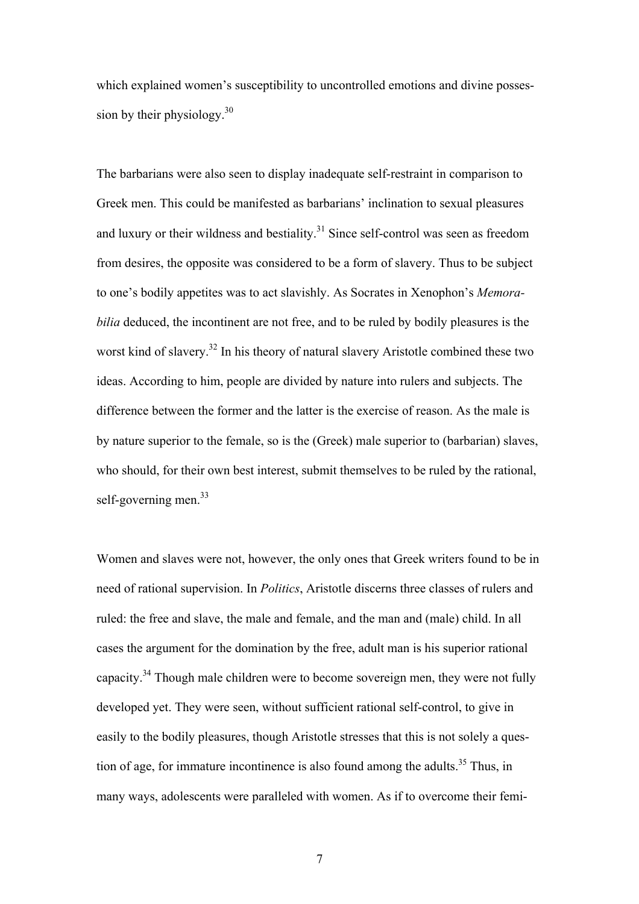which explained women's susceptibility to uncontrolled emotions and divine possession by their physiology.<sup>30</sup>

The barbarians were also seen to display inadequate self-restraint in comparison to Greek men. This could be manifested as barbarians' inclination to sexual pleasures and luxury or their wildness and bestiality.31 Since self-control was seen as freedom from desires, the opposite was considered to be a form of slavery. Thus to be subject to one's bodily appetites was to act slavishly. As Socrates in Xenophon's *Memorabilia* deduced, the incontinent are not free, and to be ruled by bodily pleasures is the worst kind of slavery.<sup>32</sup> In his theory of natural slavery Aristotle combined these two ideas. According to him, people are divided by nature into rulers and subjects. The difference between the former and the latter is the exercise of reason. As the male is by nature superior to the female, so is the (Greek) male superior to (barbarian) slaves, who should, for their own best interest, submit themselves to be ruled by the rational, self-governing men. $33$ 

Women and slaves were not, however, the only ones that Greek writers found to be in need of rational supervision. In *Politics*, Aristotle discerns three classes of rulers and ruled: the free and slave, the male and female, and the man and (male) child. In all cases the argument for the domination by the free, adult man is his superior rational capacity.<sup>34</sup> Though male children were to become sovereign men, they were not fully developed yet. They were seen, without sufficient rational self-control, to give in easily to the bodily pleasures, though Aristotle stresses that this is not solely a question of age, for immature incontinence is also found among the adults.<sup>35</sup> Thus, in many ways, adolescents were paralleled with women. As if to overcome their femi-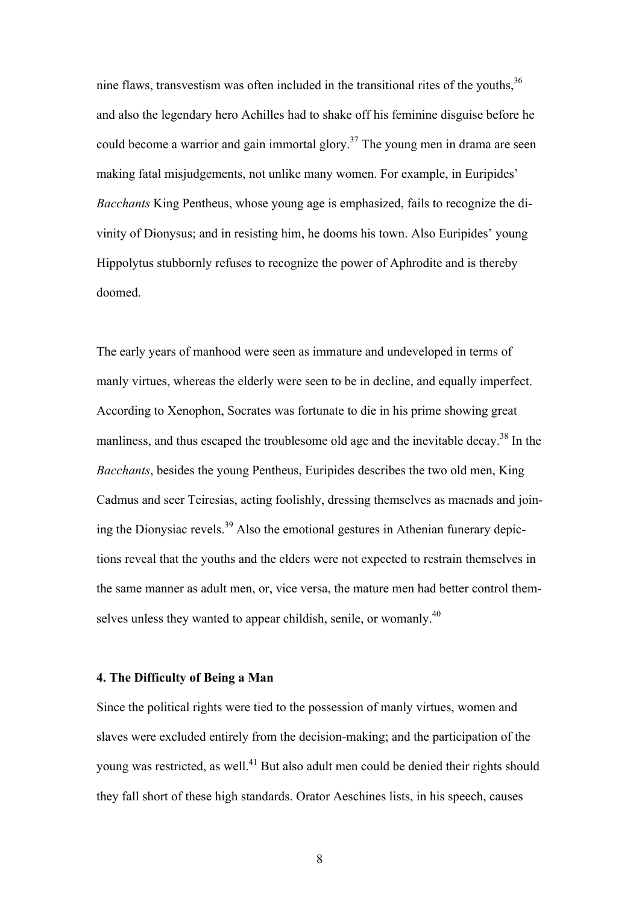nine flaws, transvestism was often included in the transitional rites of the youths,<sup>36</sup> and also the legendary hero Achilles had to shake off his feminine disguise before he could become a warrior and gain immortal glory.<sup>37</sup> The young men in drama are seen making fatal misjudgements, not unlike many women. For example, in Euripides' *Bacchants* King Pentheus, whose young age is emphasized, fails to recognize the divinity of Dionysus; and in resisting him, he dooms his town. Also Euripides' young Hippolytus stubbornly refuses to recognize the power of Aphrodite and is thereby doomed.

The early years of manhood were seen as immature and undeveloped in terms of manly virtues, whereas the elderly were seen to be in decline, and equally imperfect. According to Xenophon, Socrates was fortunate to die in his prime showing great manliness, and thus escaped the troublesome old age and the inevitable decay.<sup>38</sup> In the *Bacchants*, besides the young Pentheus, Euripides describes the two old men, King Cadmus and seer Teiresias, acting foolishly, dressing themselves as maenads and joining the Dionysiac revels.<sup>39</sup> Also the emotional gestures in Athenian funerary depictions reveal that the youths and the elders were not expected to restrain themselves in the same manner as adult men, or, vice versa, the mature men had better control themselves unless they wanted to appear childish, senile, or womanly.<sup>40</sup>

### **4. The Difficulty of Being a Man**

Since the political rights were tied to the possession of manly virtues, women and slaves were excluded entirely from the decision-making; and the participation of the young was restricted, as well.<sup>41</sup> But also adult men could be denied their rights should they fall short of these high standards. Orator Aeschines lists, in his speech, causes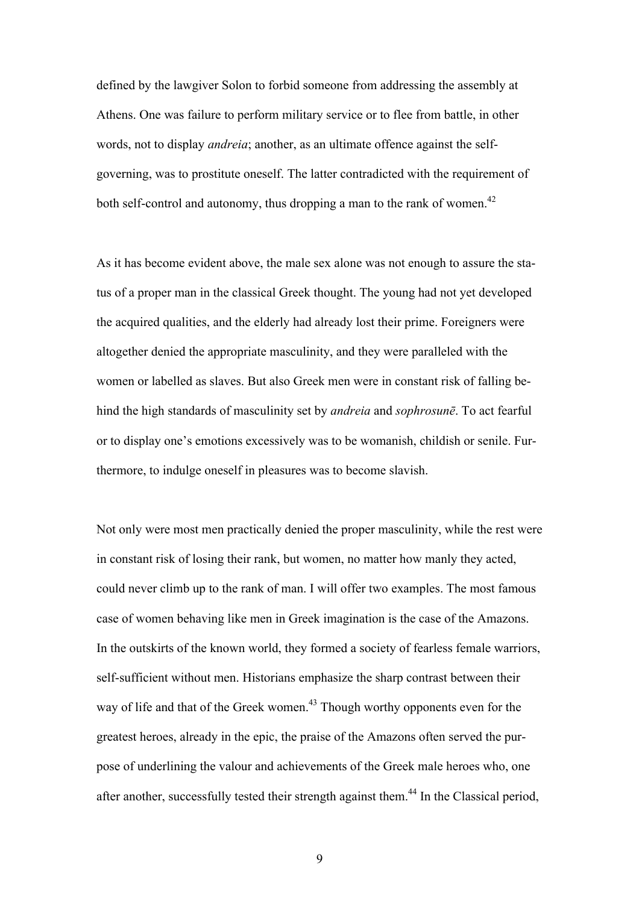defined by the lawgiver Solon to forbid someone from addressing the assembly at Athens. One was failure to perform military service or to flee from battle, in other words, not to display *andreia*; another, as an ultimate offence against the selfgoverning, was to prostitute oneself. The latter contradicted with the requirement of both self-control and autonomy, thus dropping a man to the rank of women.<sup>42</sup>

As it has become evident above, the male sex alone was not enough to assure the status of a proper man in the classical Greek thought. The young had not yet developed the acquired qualities, and the elderly had already lost their prime. Foreigners were altogether denied the appropriate masculinity, and they were paralleled with the women or labelled as slaves. But also Greek men were in constant risk of falling behind the high standards of masculinity set by *andreia* and *sophrosunē*. To act fearful or to display one's emotions excessively was to be womanish, childish or senile. Furthermore, to indulge oneself in pleasures was to become slavish.

Not only were most men practically denied the proper masculinity, while the rest were in constant risk of losing their rank, but women, no matter how manly they acted, could never climb up to the rank of man. I will offer two examples. The most famous case of women behaving like men in Greek imagination is the case of the Amazons. In the outskirts of the known world, they formed a society of fearless female warriors, self-sufficient without men. Historians emphasize the sharp contrast between their way of life and that of the Greek women.<sup>43</sup> Though worthy opponents even for the greatest heroes, already in the epic, the praise of the Amazons often served the purpose of underlining the valour and achievements of the Greek male heroes who, one after another, successfully tested their strength against them.<sup>44</sup> In the Classical period,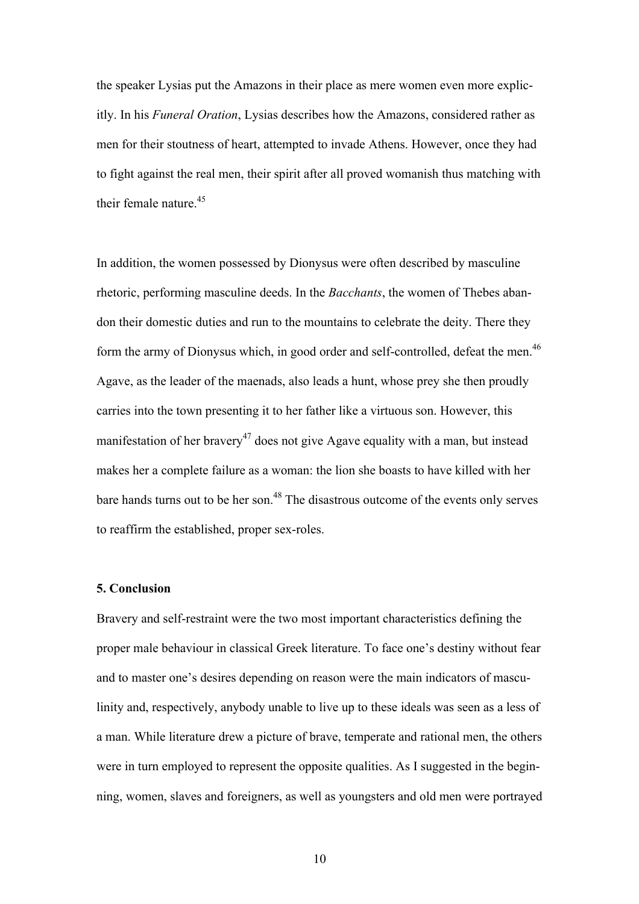the speaker Lysias put the Amazons in their place as mere women even more explicitly. In his *Funeral Oration*, Lysias describes how the Amazons, considered rather as men for their stoutness of heart, attempted to invade Athens. However, once they had to fight against the real men, their spirit after all proved womanish thus matching with their female nature. $45$ 

In addition, the women possessed by Dionysus were often described by masculine rhetoric, performing masculine deeds. In the *Bacchants*, the women of Thebes abandon their domestic duties and run to the mountains to celebrate the deity. There they form the army of Dionysus which, in good order and self-controlled, defeat the men.<sup>46</sup> Agave, as the leader of the maenads, also leads a hunt, whose prey she then proudly carries into the town presenting it to her father like a virtuous son. However, this manifestation of her bravery<sup>47</sup> does not give Agave equality with a man, but instead makes her a complete failure as a woman: the lion she boasts to have killed with her bare hands turns out to be her son.<sup>48</sup> The disastrous outcome of the events only serves to reaffirm the established, proper sex-roles.

#### **5. Conclusion**

Bravery and self-restraint were the two most important characteristics defining the proper male behaviour in classical Greek literature. To face one's destiny without fear and to master one's desires depending on reason were the main indicators of masculinity and, respectively, anybody unable to live up to these ideals was seen as a less of a man. While literature drew a picture of brave, temperate and rational men, the others were in turn employed to represent the opposite qualities. As I suggested in the beginning, women, slaves and foreigners, as well as youngsters and old men were portrayed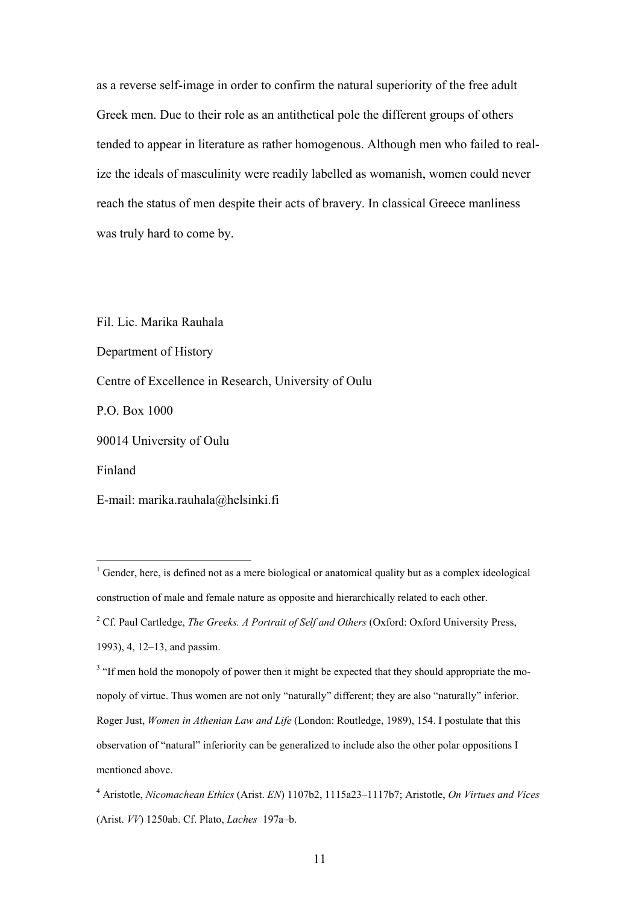as a reverse self-image in order to confirm the natural superiority of the free adult Greek men. Due to their role as an antithetical pole the different groups of others tended to appear in literature as rather homogenous. Although men who failed to realize the ideals of masculinity were readily labelled as womanish, women could never reach the status of men despite their acts of bravery. In classical Greece manliness was truly hard to come by.

Fil. Lic. Marika Rauhala Department of History Centre of Excellence in Research, University of Oulu P.O. Box 1000 90014 University of Oulu Finland E-mail: marika.rauhala@helsinki.fi

<sup>&</sup>lt;sup>1</sup> Gender, here, is defined not as a mere biological or anatomical quality but as a complex ideological construction of male and female nature as opposite and hierarchically related to each other.

<sup>2</sup> Cf. Paul Cartledge, *The Greeks. A Portrait of Self and Others* (Oxford: Oxford University Press,

<sup>1993), 4, 12–13,</sup> and passim.

<sup>&</sup>lt;sup>3</sup> "If men hold the monopoly of power then it might be expected that they should appropriate the monopoly of virtue. Thus women are not only "naturally" different; they are also "naturally" inferior. Roger Just, *Women in Athenian Law and Life* (London: Routledge, 1989), 154. I postulate that this observation of "natural" inferiority can be generalized to include also the other polar oppositions I mentioned above.

<sup>4</sup> Aristotle, *Nicomachean Ethics* (Arist. *EN*) 1107b2, 1115a23–1117b7; Aristotle, *On Virtues and Vices* (Arist. *VV*) 1250ab. Cf. Plato, *Laches* 197a–b.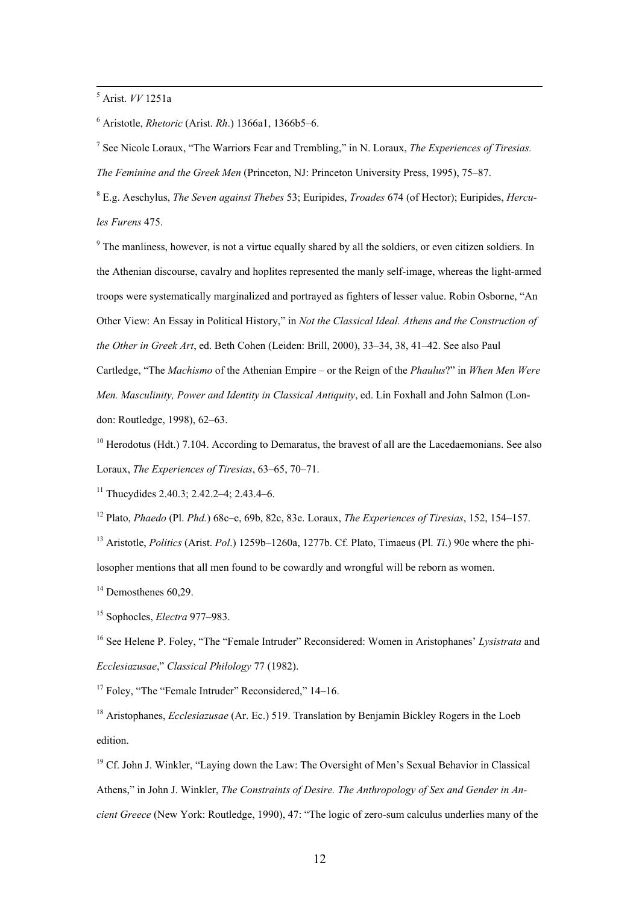5 Arist. *VV* 1251a

6 Aristotle, *Rhetoric* (Arist. *Rh*.) 1366a1, 1366b5–6.

7 See Nicole Loraux, "The Warriors Fear and Trembling," in N. Loraux, *The Experiences of Tiresias. The Feminine and the Greek Men* (Princeton, NJ: Princeton University Press, 1995), 75–87.

8 E.g. Aeschylus, *The Seven against Thebes* 53; Euripides, *Troades* 674 (of Hector); Euripides, *Hercules Furens* 475.

<sup>9</sup> The manliness, however, is not a virtue equally shared by all the soldiers, or even citizen soldiers. In the Athenian discourse, cavalry and hoplites represented the manly self-image, whereas the light-armed troops were systematically marginalized and portrayed as fighters of lesser value. Robin Osborne, "An Other View: An Essay in Political History," in *Not the Classical Ideal. Athens and the Construction of the Other in Greek Art*, ed. Beth Cohen (Leiden: Brill, 2000), 33–34, 38, 41–42. See also Paul Cartledge, "The *Machismo* of the Athenian Empire – or the Reign of the *Phaulus*?" in *When Men Were Men. Masculinity, Power and Identity in Classical Antiquity*, ed. Lin Foxhall and John Salmon (London: Routledge, 1998), 62–63.

 $10$  Herodotus (Hdt.) 7.104. According to Demaratus, the bravest of all are the Lacedaemonians. See also Loraux, *The Experiences of Tiresias*, 63–65, 70–71.

<sup>11</sup> Thucydides 2.40.3; 2.42.2–4; 2.43.4–6.

12 Plato, *Phaedo* (Pl. *Phd.*) 68c–e, 69b, 82c, 83e. Loraux, *The Experiences of Tiresias*, 152, 154–157.

13 Aristotle, *Politics* (Arist. *Pol*.) 1259b–1260a, 1277b. Cf. Plato, Timaeus (Pl. *Ti*.) 90e where the philosopher mentions that all men found to be cowardly and wrongful will be reborn as women.

 $14$  Demosthenes 60.29.

15 Sophocles, *Electra* 977–983.

<sup>16</sup> See Helene P. Foley, "The "Female Intruder" Reconsidered: Women in Aristophanes' *Lysistrata* and *Ecclesiazusae*," *Classical Philology* 77 (1982).

<sup>17</sup> Foley, "The "Female Intruder" Reconsidered," 14–16.

18 Aristophanes, *Ecclesiazusae* (Ar. Ec.) 519. Translation by Benjamin Bickley Rogers in the Loeb edition.

<sup>19</sup> Cf. John J. Winkler, "Laying down the Law: The Oversight of Men's Sexual Behavior in Classical Athens," in John J. Winkler, *The Constraints of Desire. The Anthropology of Sex and Gender in Ancient Greece* (New York: Routledge, 1990), 47: "The logic of zero-sum calculus underlies many of the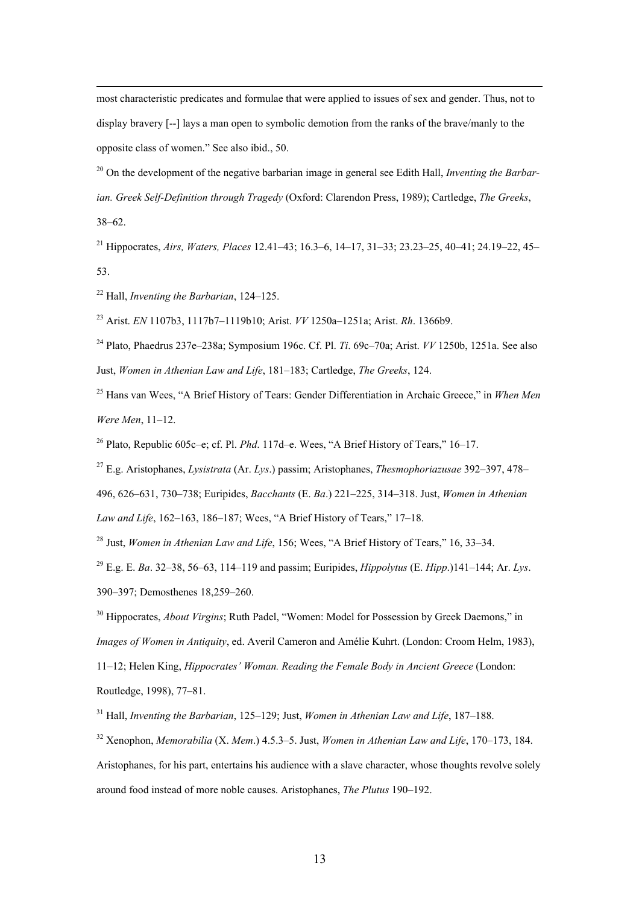most characteristic predicates and formulae that were applied to issues of sex and gender. Thus, not to display bravery [--] lays a man open to symbolic demotion from the ranks of the brave/manly to the opposite class of women." See also ibid., 50.

20 On the development of the negative barbarian image in general see Edith Hall, *Inventing the Barbarian. Greek Self-Definition through Tragedy* (Oxford: Clarendon Press, 1989); Cartledge, *The Greeks*, 38–62.

21 Hippocrates, *Airs, Waters, Places* 12.41–43; 16.3–6, 14–17, 31–33; 23.23–25, 40–41; 24.19–22, 45– 53.

22 Hall, *Inventing the Barbarian*, 124–125.

23 Arist. *EN* 1107b3, 1117b7–1119b10; Arist. *VV* 1250a–1251a; Arist. *Rh*. 1366b9.

<sup>24</sup> Plato, Phaedrus 237e–238a; Symposium 196c. Cf. Pl. *Ti*. 69c–70a; Arist. *VV* 1250b, 1251a. See also Just, *Women in Athenian Law and Life*, 181–183; Cartledge, *The Greeks*, 124.

<sup>25</sup> Hans van Wees, "A Brief History of Tears: Gender Differentiation in Archaic Greece," in *When Men Were Men*, 11–12.

<sup>26</sup> Plato, Republic 605c–e; cf. Pl. *Phd.* 117d–e. Wees, "A Brief History of Tears," 16–17.

27 E.g. Aristophanes, *Lysistrata* (Ar. *Lys*.) passim; Aristophanes, *Thesmophoriazusae* 392–397, 478–

496, 626–631, 730–738; Euripides, *Bacchants* (E. *Ba*.) 221–225, 314–318. Just, *Women in Athenian* 

*Law and Life*, 162–163, 186–187; Wees, "A Brief History of Tears," 17–18.

28 Just, *Women in Athenian Law and Life*, 156; Wees, "A Brief History of Tears," 16, 33–34.

29 E.g. E. *Ba*. 32–38, 56–63, 114–119 and passim; Euripides, *Hippolytus* (E. *Hipp*.)141–144; Ar. *Lys*. 390–397; Demosthenes 18,259–260.

<sup>30</sup> Hippocrates, *About Virgins*; Ruth Padel, "Women: Model for Possession by Greek Daemons," in *Images of Women in Antiquity*, ed. Averil Cameron and Amélie Kuhrt. (London: Croom Helm, 1983), 11–12; Helen King, *Hippocrates' Woman. Reading the Female Body in Ancient Greece* (London: Routledge, 1998), 77–81.

31 Hall, *Inventing the Barbarian*, 125–129; Just, *Women in Athenian Law and Life*, 187–188.

32 Xenophon, *Memorabilia* (X. *Mem*.) 4.5.3–5. Just, *Women in Athenian Law and Life*, 170–173, 184. Aristophanes, for his part, entertains his audience with a slave character, whose thoughts revolve solely around food instead of more noble causes. Aristophanes, *The Plutus* 190–192.